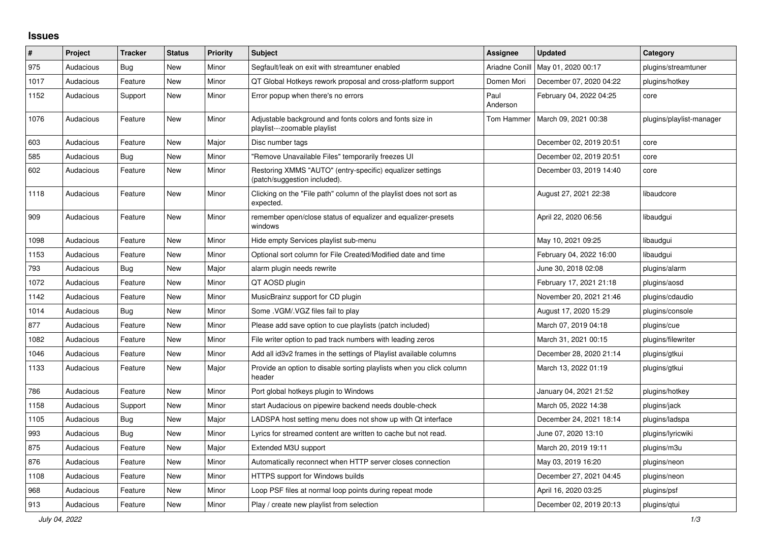## **Issues**

| #    | Project   | <b>Tracker</b> | <b>Status</b> | <b>Priority</b> | <b>Subject</b>                                                                            | Assignee         | <b>Updated</b>          | Category                 |
|------|-----------|----------------|---------------|-----------------|-------------------------------------------------------------------------------------------|------------------|-------------------------|--------------------------|
| 975  | Audacious | Bug            | <b>New</b>    | Minor           | Segfault/leak on exit with streamtuner enabled                                            | Ariadne Conill   | May 01, 2020 00:17      | plugins/streamtuner      |
| 1017 | Audacious | Feature        | New           | Minor           | QT Global Hotkeys rework proposal and cross-platform support                              | Domen Mori       | December 07, 2020 04:22 | plugins/hotkey           |
| 1152 | Audacious | Support        | New           | Minor           | Error popup when there's no errors                                                        | Paul<br>Anderson | February 04, 2022 04:25 | core                     |
| 1076 | Audacious | Feature        | <b>New</b>    | Minor           | Adjustable background and fonts colors and fonts size in<br>playlist---zoomable playlist  | Tom Hammer       | March 09, 2021 00:38    | plugins/playlist-manager |
| 603  | Audacious | Feature        | <b>New</b>    | Major           | Disc number tags                                                                          |                  | December 02, 2019 20:51 | core                     |
| 585  | Audacious | Bug            | New           | Minor           | "Remove Unavailable Files" temporarily freezes UI                                         |                  | December 02, 2019 20:51 | core                     |
| 602  | Audacious | Feature        | New           | Minor           | Restoring XMMS "AUTO" (entry-specific) equalizer settings<br>(patch/suggestion included). |                  | December 03, 2019 14:40 | core                     |
| 1118 | Audacious | Feature        | New           | Minor           | Clicking on the "File path" column of the playlist does not sort as<br>expected.          |                  | August 27, 2021 22:38   | libaudcore               |
| 909  | Audacious | Feature        | New           | Minor           | remember open/close status of equalizer and equalizer-presets<br>windows                  |                  | April 22, 2020 06:56    | libaudgui                |
| 1098 | Audacious | Feature        | <b>New</b>    | Minor           | Hide empty Services playlist sub-menu                                                     |                  | May 10, 2021 09:25      | libaudgui                |
| 1153 | Audacious | Feature        | New           | Minor           | Optional sort column for File Created/Modified date and time                              |                  | February 04, 2022 16:00 | libaudgui                |
| 793  | Audacious | Bug            | New           | Major           | alarm plugin needs rewrite                                                                |                  | June 30, 2018 02:08     | plugins/alarm            |
| 1072 | Audacious | Feature        | New           | Minor           | QT AOSD plugin                                                                            |                  | February 17, 2021 21:18 | plugins/aosd             |
| 1142 | Audacious | Feature        | <b>New</b>    | Minor           | MusicBrainz support for CD plugin                                                         |                  | November 20, 2021 21:46 | plugins/cdaudio          |
| 1014 | Audacious | <b>Bug</b>     | <b>New</b>    | Minor           | Some .VGM/.VGZ files fail to play                                                         |                  | August 17, 2020 15:29   | plugins/console          |
| 877  | Audacious | Feature        | New           | Minor           | Please add save option to cue playlists (patch included)                                  |                  | March 07, 2019 04:18    | plugins/cue              |
| 1082 | Audacious | Feature        | New           | Minor           | File writer option to pad track numbers with leading zeros                                |                  | March 31, 2021 00:15    | plugins/filewriter       |
| 1046 | Audacious | Feature        | New           | Minor           | Add all id3v2 frames in the settings of Playlist available columns                        |                  | December 28, 2020 21:14 | plugins/gtkui            |
| 1133 | Audacious | Feature        | <b>New</b>    | Major           | Provide an option to disable sorting playlists when you click column<br>header            |                  | March 13, 2022 01:19    | plugins/gtkui            |
| 786  | Audacious | Feature        | <b>New</b>    | Minor           | Port global hotkeys plugin to Windows                                                     |                  | January 04, 2021 21:52  | plugins/hotkey           |
| 1158 | Audacious | Support        | New           | Minor           | start Audacious on pipewire backend needs double-check                                    |                  | March 05, 2022 14:38    | plugins/jack             |
| 1105 | Audacious | <b>Bug</b>     | New           | Major           | LADSPA host setting menu does not show up with Qt interface                               |                  | December 24, 2021 18:14 | plugins/ladspa           |
| 993  | Audacious | <b>Bug</b>     | New           | Minor           | Lyrics for streamed content are written to cache but not read.                            |                  | June 07, 2020 13:10     | plugins/lyricwiki        |
| 875  | Audacious | Feature        | New           | Major           | Extended M3U support                                                                      |                  | March 20, 2019 19:11    | plugins/m3u              |
| 876  | Audacious | Feature        | <b>New</b>    | Minor           | Automatically reconnect when HTTP server closes connection                                |                  | May 03, 2019 16:20      | plugins/neon             |
| 1108 | Audacious | Feature        | New           | Minor           | HTTPS support for Windows builds                                                          |                  | December 27, 2021 04:45 | plugins/neon             |
| 968  | Audacious | Feature        | New           | Minor           | Loop PSF files at normal loop points during repeat mode                                   |                  | April 16, 2020 03:25    | plugins/psf              |
| 913  | Audacious | Feature        | <b>New</b>    | Minor           | Play / create new playlist from selection                                                 |                  | December 02, 2019 20:13 | plugins/gtui             |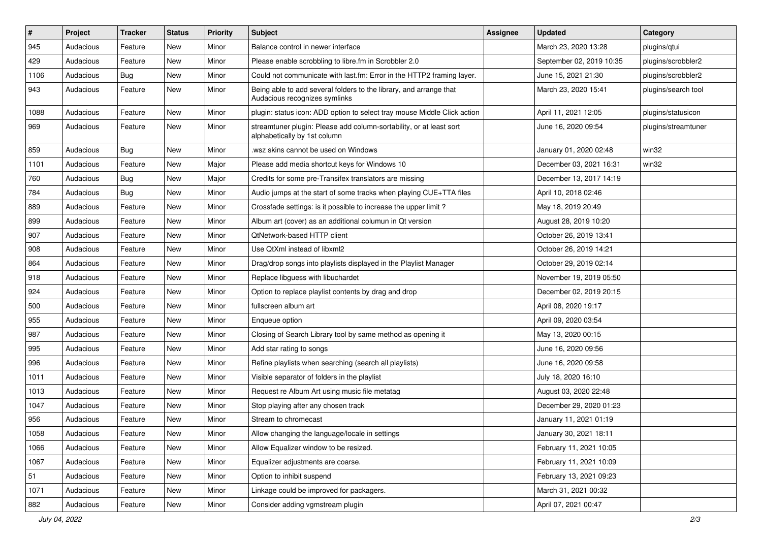| $\#$ | Project   | Tracker    | <b>Status</b> | <b>Priority</b> | <b>Subject</b>                                                                                      | <b>Assignee</b> | <b>Updated</b>           | Category            |
|------|-----------|------------|---------------|-----------------|-----------------------------------------------------------------------------------------------------|-----------------|--------------------------|---------------------|
| 945  | Audacious | Feature    | New           | Minor           | Balance control in newer interface                                                                  |                 | March 23, 2020 13:28     | plugins/qtui        |
| 429  | Audacious | Feature    | <b>New</b>    | Minor           | Please enable scrobbling to libre.fm in Scrobbler 2.0                                               |                 | September 02, 2019 10:35 | plugins/scrobbler2  |
| 1106 | Audacious | Bug        | New           | Minor           | Could not communicate with last.fm: Error in the HTTP2 framing layer.                               |                 | June 15, 2021 21:30      | plugins/scrobbler2  |
| 943  | Audacious | Feature    | New           | Minor           | Being able to add several folders to the library, and arrange that<br>Audacious recognizes symlinks |                 | March 23, 2020 15:41     | plugins/search tool |
| 1088 | Audacious | Feature    | New           | Minor           | plugin: status icon: ADD option to select tray mouse Middle Click action                            |                 | April 11, 2021 12:05     | plugins/statusicon  |
| 969  | Audacious | Feature    | <b>New</b>    | Minor           | streamtuner plugin: Please add column-sortability, or at least sort<br>alphabetically by 1st column |                 | June 16, 2020 09:54      | plugins/streamtuner |
| 859  | Audacious | <b>Bug</b> | New           | Minor           | .wsz skins cannot be used on Windows                                                                |                 | January 01, 2020 02:48   | win32               |
| 1101 | Audacious | Feature    | <b>New</b>    | Major           | Please add media shortcut keys for Windows 10                                                       |                 | December 03, 2021 16:31  | win32               |
| 760  | Audacious | Bug        | New           | Major           | Credits for some pre-Transifex translators are missing                                              |                 | December 13, 2017 14:19  |                     |
| 784  | Audacious | Bug        | <b>New</b>    | Minor           | Audio jumps at the start of some tracks when playing CUE+TTA files                                  |                 | April 10, 2018 02:46     |                     |
| 889  | Audacious | Feature    | New           | Minor           | Crossfade settings: is it possible to increase the upper limit?                                     |                 | May 18, 2019 20:49       |                     |
| 899  | Audacious | Feature    | New           | Minor           | Album art (cover) as an additional columun in Qt version                                            |                 | August 28, 2019 10:20    |                     |
| 907  | Audacious | Feature    | <b>New</b>    | Minor           | QtNetwork-based HTTP client                                                                         |                 | October 26, 2019 13:41   |                     |
| 908  | Audacious | Feature    | New           | Minor           | Use QtXml instead of libxml2                                                                        |                 | October 26, 2019 14:21   |                     |
| 864  | Audacious | Feature    | New           | Minor           | Drag/drop songs into playlists displayed in the Playlist Manager                                    |                 | October 29, 2019 02:14   |                     |
| 918  | Audacious | Feature    | New           | Minor           | Replace libguess with libuchardet                                                                   |                 | November 19, 2019 05:50  |                     |
| 924  | Audacious | Feature    | New           | Minor           | Option to replace playlist contents by drag and drop                                                |                 | December 02, 2019 20:15  |                     |
| 500  | Audacious | Feature    | New           | Minor           | fullscreen album art                                                                                |                 | April 08, 2020 19:17     |                     |
| 955  | Audacious | Feature    | New           | Minor           | Enqueue option                                                                                      |                 | April 09, 2020 03:54     |                     |
| 987  | Audacious | Feature    | New           | Minor           | Closing of Search Library tool by same method as opening it                                         |                 | May 13, 2020 00:15       |                     |
| 995  | Audacious | Feature    | New           | Minor           | Add star rating to songs                                                                            |                 | June 16, 2020 09:56      |                     |
| 996  | Audacious | Feature    | New           | Minor           | Refine playlists when searching (search all playlists)                                              |                 | June 16, 2020 09:58      |                     |
| 1011 | Audacious | Feature    | New           | Minor           | Visible separator of folders in the playlist                                                        |                 | July 18, 2020 16:10      |                     |
| 1013 | Audacious | Feature    | New           | Minor           | Request re Album Art using music file metatag                                                       |                 | August 03, 2020 22:48    |                     |
| 1047 | Audacious | Feature    | New           | Minor           | Stop playing after any chosen track                                                                 |                 | December 29, 2020 01:23  |                     |
| 956  | Audacious | Feature    | <b>New</b>    | Minor           | Stream to chromecast                                                                                |                 | January 11, 2021 01:19   |                     |
| 1058 | Audacious | Feature    | New           | Minor           | Allow changing the language/locale in settings                                                      |                 | January 30, 2021 18:11   |                     |
| 1066 | Audacious | Feature    | New           | Minor           | Allow Equalizer window to be resized.                                                               |                 | February 11, 2021 10:05  |                     |
| 1067 | Audacious | Feature    | New           | Minor           | Equalizer adjustments are coarse.                                                                   |                 | February 11, 2021 10:09  |                     |
| 51   | Audacious | Feature    | New           | Minor           | Option to inhibit suspend                                                                           |                 | February 13, 2021 09:23  |                     |
| 1071 | Audacious | Feature    | New           | Minor           | Linkage could be improved for packagers.                                                            |                 | March 31, 2021 00:32     |                     |
| 882  | Audacious | Feature    | New           | Minor           | Consider adding vgmstream plugin                                                                    |                 | April 07, 2021 00:47     |                     |